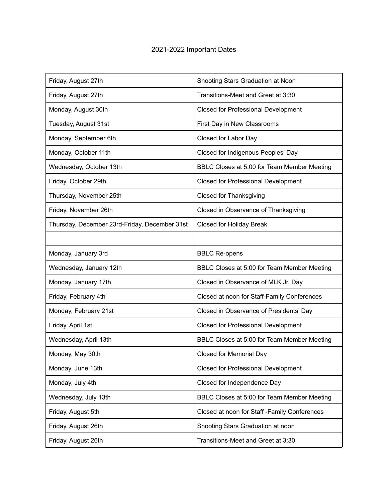## 2021-2022 Important Dates

| Friday, August 27th                           | Shooting Stars Graduation at Noon            |
|-----------------------------------------------|----------------------------------------------|
| Friday, August 27th                           | Transitions-Meet and Greet at 3:30           |
| Monday, August 30th                           | <b>Closed for Professional Development</b>   |
| Tuesday, August 31st                          | First Day in New Classrooms                  |
| Monday, September 6th                         | Closed for Labor Day                         |
| Monday, October 11th                          | Closed for Indigenous Peoples' Day           |
| Wednesday, October 13th                       | BBLC Closes at 5:00 for Team Member Meeting  |
| Friday, October 29th                          | Closed for Professional Development          |
| Thursday, November 25th                       | <b>Closed for Thanksgiving</b>               |
| Friday, November 26th                         | Closed in Observance of Thanksgiving         |
| Thursday, December 23rd-Friday, December 31st | Closed for Holiday Break                     |
|                                               |                                              |
| Monday, January 3rd                           | <b>BBLC Re-opens</b>                         |
|                                               |                                              |
| Wednesday, January 12th                       | BBLC Closes at 5:00 for Team Member Meeting  |
| Monday, January 17th                          | Closed in Observance of MLK Jr. Day          |
| Friday, February 4th                          | Closed at noon for Staff-Family Conferences  |
| Monday, February 21st                         | Closed in Observance of Presidents' Day      |
| Friday, April 1st                             | <b>Closed for Professional Development</b>   |
| Wednesday, April 13th                         | BBLC Closes at 5:00 for Team Member Meeting  |
| Monday, May 30th                              | <b>Closed for Memorial Day</b>               |
| Monday, June 13th                             | <b>Closed for Professional Development</b>   |
| Monday, July 4th                              | Closed for Independence Day                  |
| Wednesday, July 13th                          | BBLC Closes at 5:00 for Team Member Meeting  |
| Friday, August 5th                            | Closed at noon for Staff -Family Conferences |
| Friday, August 26th                           | Shooting Stars Graduation at noon            |